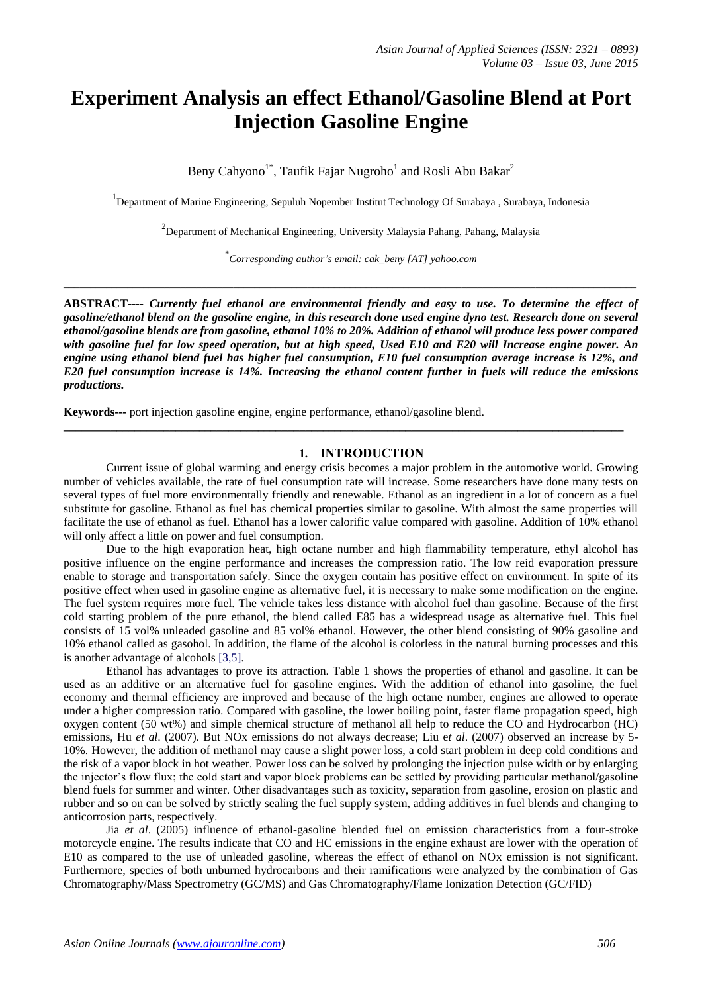# **Experiment Analysis an effect Ethanol/Gasoline Blend at Port Injection Gasoline Engine**

Beny Cahyono<sup>1\*</sup>, Taufik Fajar Nugroho<sup>1</sup> and Rosli Abu Bakar<sup>2</sup>

<sup>1</sup>Department of Marine Engineering, Sepuluh Nopember Institut Technology Of Surabaya, Surabaya, Indonesia

<sup>2</sup>Department of Mechanical Engineering, University Malaysia Pahang, Pahang, Malaysia

\* *Corresponding author's email: cak\_beny [AT] yahoo.com*

 $\_$  , and the set of the set of the set of the set of the set of the set of the set of the set of the set of the set of the set of the set of the set of the set of the set of the set of the set of the set of the set of th

**ABSTRACT----** *Currently fuel ethanol are environmental friendly and easy to use. To determine the effect of gasoline/ethanol blend on the gasoline engine, in this research done used engine dyno test. Research done on several ethanol/gasoline blends are from gasoline, ethanol 10% to 20%. Addition of ethanol will produce less power compared with gasoline fuel for low speed operation, but at high speed, Used E10 and E20 will Increase engine power. An engine using ethanol blend fuel has higher fuel consumption, E10 fuel consumption average increase is 12%, and E20 fuel consumption increase is 14%. Increasing the ethanol content further in fuels will reduce the emissions productions.* 

**Keywords***---* port injection gasoline engine, engine performance, ethanol/gasoline blend.

### **1. INTRODUCTION**

Current issue of global warming and energy crisis becomes a major problem in the automotive world. Growing number of vehicles available, the rate of fuel consumption rate will increase. Some researchers have done many tests on several types of fuel more environmentally friendly and renewable. Ethanol as an ingredient in a lot of concern as a fuel substitute for gasoline. Ethanol as fuel has chemical properties similar to gasoline. With almost the same properties will facilitate the use of ethanol as fuel. Ethanol has a lower calorific value compared with gasoline. Addition of 10% ethanol will only affect a little on power and fuel consumption.

**\_\_\_\_\_\_\_\_\_\_\_\_\_\_\_\_\_\_\_\_\_\_\_\_\_\_\_\_\_\_\_\_\_\_\_\_\_\_\_\_\_\_\_\_\_\_\_\_\_\_\_\_\_\_\_\_\_\_\_\_\_\_\_\_\_\_\_\_\_\_\_\_\_\_\_\_\_\_\_\_\_\_\_\_\_\_\_\_\_\_\_\_\_\_\_**

Due to the high evaporation heat, high octane number and high flammability temperature, ethyl alcohol has positive influence on the engine performance and increases the compression ratio. The low reid evaporation pressure enable to storage and transportation safely. Since the oxygen contain has positive effect on environment. In spite of its positive effect when used in gasoline engine as alternative fuel, it is necessary to make some modification on the engine. The fuel system requires more fuel. The vehicle takes less distance with alcohol fuel than gasoline. Because of the first cold starting problem of the pure ethanol, the blend called E85 has a widespread usage as alternative fuel. This fuel consists of 15 vol% unleaded gasoline and 85 vol% ethanol. However, the other blend consisting of 90% gasoline and 10% ethanol called as gasohol. In addition, the flame of the alcohol is colorless in the natural burning processes and this is another advantage of alcohols [3,5].

Ethanol has advantages to prove its attraction. Table 1 shows the properties of ethanol and gasoline. It can be used as an additive or an alternative fuel for gasoline engines. With the addition of ethanol into gasoline, the fuel economy and thermal efficiency are improved and because of the high octane number, engines are allowed to operate under a higher compression ratio. Compared with gasoline, the lower boiling point, faster flame propagation speed, high oxygen content (50 wt%) and simple chemical structure of methanol all help to reduce the CO and Hydrocarbon (HC) emissions, Hu *et al*. (2007). But NOx emissions do not always decrease; Liu e*t al*. (2007) observed an increase by 5- 10%. However, the addition of methanol may cause a slight power loss, a cold start problem in deep cold conditions and the risk of a vapor block in hot weather. Power loss can be solved by prolonging the injection pulse width or by enlarging the injector's flow flux; the cold start and vapor block problems can be settled by providing particular methanol/gasoline blend fuels for summer and winter. Other disadvantages such as toxicity, separation from gasoline, erosion on plastic and rubber and so on can be solved by strictly sealing the fuel supply system, adding additives in fuel blends and changing to anticorrosion parts, respectively.

Jia *et al*. (2005) influence of ethanol-gasoline blended fuel on emission characteristics from a four-stroke motorcycle engine. The results indicate that CO and HC emissions in the engine exhaust are lower with the operation of E10 as compared to the use of unleaded gasoline, whereas the effect of ethanol on NOx emission is not significant. Furthermore, species of both unburned hydrocarbons and their ramifications were analyzed by the combination of Gas Chromatography/Mass Spectrometry (GC/MS) and Gas Chromatography/Flame Ionization Detection (GC/FID)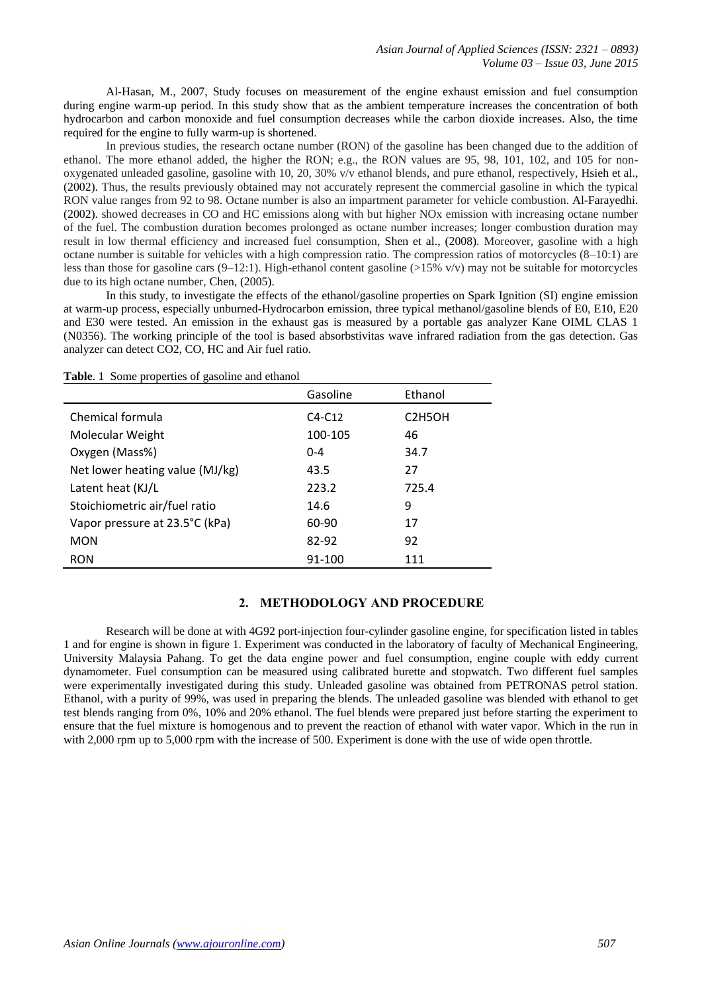Al-Hasan, M., 2007, Study focuses on measurement of the engine exhaust emission and fuel consumption during engine warm-up period. In this study show that as the ambient temperature increases the concentration of both hydrocarbon and carbon monoxide and fuel consumption decreases while the carbon dioxide increases. Also, the time required for the engine to fully warm-up is shortened.

In previous studies, the research octane number (RON) of the gasoline has been changed due to the addition of ethanol. The more ethanol added, the higher the RON; e.g., the RON values are 95, 98, 101, 102, and 105 for nonoxygenated unleaded gasoline, gasoline with 10, 20, 30% v/v ethanol blends, and pure ethanol, respectively, Hsieh et al., (2002). Thus, the results previously obtained may not accurately represent the commercial gasoline in which the typical RON value ranges from 92 to 98. Octane number is also an impartment parameter for vehicle combustion. Al-Farayedhi. (2002). showed decreases in CO and HC emissions along with but higher NOx emission with increasing octane number of the fuel. The combustion duration becomes prolonged as octane number increases; longer combustion duration may result in low thermal efficiency and increased fuel consumption, Shen et al., (2008). Moreover, gasoline with a high octane number is suitable for vehicles with a high compression ratio. The compression ratios of motorcycles (8–10:1) are less than those for gasoline cars  $(9-12:1)$ . High-ethanol content gasoline ( $>15\%$  v/v) may not be suitable for motorcycles due to its high octane number, Chen, (2005).

In this study, to investigate the effects of the ethanol/gasoline properties on Spark Ignition (SI) engine emission at warm-up process, especially unburned-Hydrocarbon emission, three typical methanol/gasoline blends of E0, E10, E20 and E30 were tested. An emission in the exhaust gas is measured by a portable gas analyzer Kane OIML CLAS 1 (N0356). The working principle of the tool is based absorbstivitas wave infrared radiation from the gas detection. Gas analyzer can detect CO2, CO, HC and Air fuel ratio.

|  | Table. 1 Some properties of gasoline and ethanol |  |  |
|--|--------------------------------------------------|--|--|
|--|--------------------------------------------------|--|--|

|                                 | Gasoline | Ethanol                          |
|---------------------------------|----------|----------------------------------|
| Chemical formula                | $C4-C12$ | C <sub>2</sub> H <sub>5</sub> OH |
| Molecular Weight                | 100-105  | 46                               |
| Oxygen (Mass%)                  | $0 - 4$  | 34.7                             |
| Net lower heating value (MJ/kg) | 43.5     | 27                               |
| Latent heat (KJ/L               | 223.2    | 725.4                            |
| Stoichiometric air/fuel ratio   | 14.6     | 9                                |
| Vapor pressure at 23.5°C (kPa)  | 60-90    | 17                               |
| <b>MON</b>                      | 82-92    | 92                               |
| <b>RON</b>                      | 91-100   | 111                              |

# **2. METHODOLOGY AND PROCEDURE**

Research will be done at with 4G92 port-injection four-cylinder gasoline engine, for specification listed in tables 1 and for engine is shown in figure 1. Experiment was conducted in the laboratory of faculty of Mechanical Engineering, University Malaysia Pahang. To get the data engine power and fuel consumption, engine couple with eddy current dynamometer. Fuel consumption can be measured using calibrated burette and stopwatch. Two different fuel samples were experimentally investigated during this study. Unleaded gasoline was obtained from PETRONAS petrol station. Ethanol, with a purity of 99%, was used in preparing the blends. The unleaded gasoline was blended with ethanol to get test blends ranging from 0%, 10% and 20% ethanol. The fuel blends were prepared just before starting the experiment to ensure that the fuel mixture is homogenous and to prevent the reaction of ethanol with water vapor. Which in the run in with 2,000 rpm up to 5,000 rpm with the increase of 500. Experiment is done with the use of wide open throttle.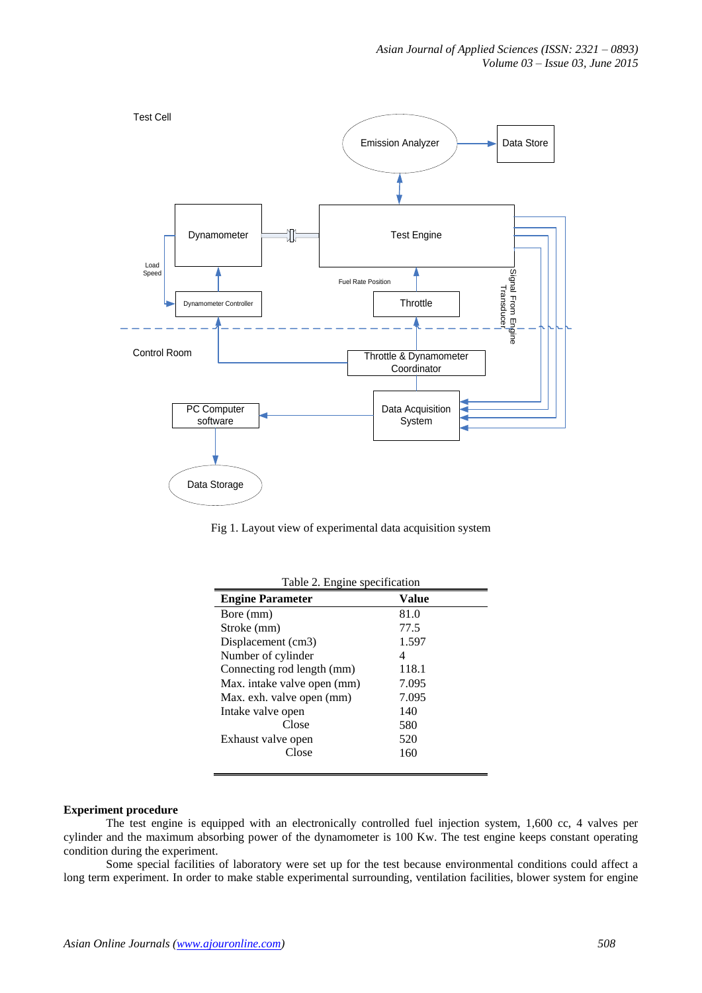

Fig 1. Layout view of experimental data acquisition system

| Table 2. Engine specification |       |  |  |
|-------------------------------|-------|--|--|
| <b>Engine Parameter</b>       | Value |  |  |
| Bore (mm)                     | 81.0  |  |  |
| Stroke (mm)                   | 77.5  |  |  |
| Displacement (cm3)            | 1.597 |  |  |
| Number of cylinder            | 4     |  |  |
| Connecting rod length (mm)    | 118.1 |  |  |
| Max. intake valve open (mm)   | 7.095 |  |  |
| Max. exh. valve open (mm)     | 7.095 |  |  |
| Intake valve open             | 140   |  |  |
| Close                         | 580   |  |  |
| Exhaust valve open            | 520   |  |  |
| Close                         | 160   |  |  |
|                               |       |  |  |

#### **Experiment procedure**

The test engine is equipped with an electronically controlled fuel injection system, 1,600 cc, 4 valves per cylinder and the maximum absorbing power of the dynamometer is 100 Kw. The test engine keeps constant operating condition during the experiment.

Some special facilities of laboratory were set up for the test because environmental conditions could affect a long term experiment. In order to make stable experimental surrounding, ventilation facilities, blower system for engine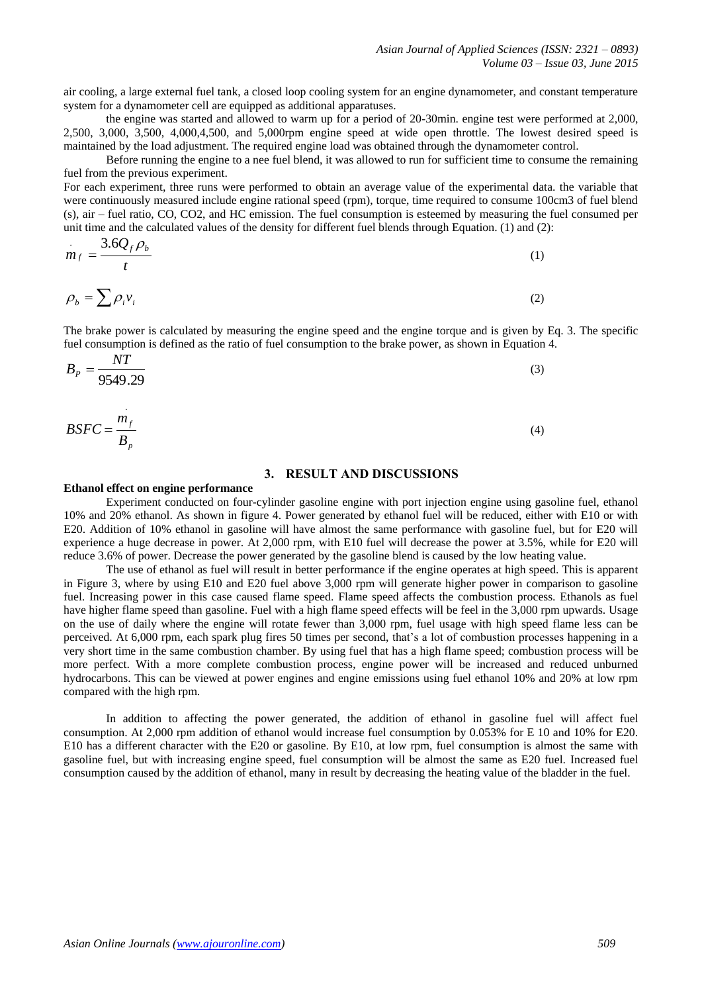air cooling, a large external fuel tank, a closed loop cooling system for an engine dynamometer, and constant temperature system for a dynamometer cell are equipped as additional apparatuses.

the engine was started and allowed to warm up for a period of 20-30min. engine test were performed at 2,000, 2,500, 3,000, 3,500, 4,000,4,500, and 5,000rpm engine speed at wide open throttle. The lowest desired speed is maintained by the load adjustment. The required engine load was obtained through the dynamometer control.

Before running the engine to a nee fuel blend, it was allowed to run for sufficient time to consume the remaining fuel from the previous experiment.

For each experiment, three runs were performed to obtain an average value of the experimental data. the variable that were continuously measured include engine rational speed (rpm), torque, time required to consume 100cm3 of fuel blend (s), air – fuel ratio, CO, CO2, and HC emission. The fuel consumption is esteemed by measuring the fuel consumed per unit time and the calculated values of the density for different fuel blends through Equation. (1) and (2):

$$
m_f = \frac{3.6Q_f \rho_b}{t} \tag{1}
$$

$$
\rho_b = \sum \rho_i v_i \tag{2}
$$

The brake power is calculated by measuring the engine speed and the engine torque and is given by Eq. 3. The specific fuel consumption is defined as the ratio of fuel consumption to the brake power, as shown in Equation 4.

$$
B_P = \frac{NT}{9549.29} \tag{3}
$$

$$
BSFC = \frac{m_f}{B_p} \tag{4}
$$

# **3. RESULT AND DISCUSSIONS**

#### **Ethanol effect on engine performance**

Experiment conducted on four-cylinder gasoline engine with port injection engine using gasoline fuel, ethanol 10% and 20% ethanol. As shown in figure 4. Power generated by ethanol fuel will be reduced, either with E10 or with E20. Addition of 10% ethanol in gasoline will have almost the same performance with gasoline fuel, but for E20 will experience a huge decrease in power. At 2,000 rpm, with E10 fuel will decrease the power at 3.5%, while for E20 will reduce 3.6% of power. Decrease the power generated by the gasoline blend is caused by the low heating value.

The use of ethanol as fuel will result in better performance if the engine operates at high speed. This is apparent in Figure 3, where by using E10 and E20 fuel above 3,000 rpm will generate higher power in comparison to gasoline fuel. Increasing power in this case caused flame speed. Flame speed affects the combustion process. Ethanols as fuel have higher flame speed than gasoline. Fuel with a high flame speed effects will be feel in the 3,000 rpm upwards. Usage on the use of daily where the engine will rotate fewer than 3,000 rpm, fuel usage with high speed flame less can be perceived. At 6,000 rpm, each spark plug fires 50 times per second, that's a lot of combustion processes happening in a very short time in the same combustion chamber. By using fuel that has a high flame speed; combustion process will be more perfect. With a more complete combustion process, engine power will be increased and reduced unburned hydrocarbons. This can be viewed at power engines and engine emissions using fuel ethanol 10% and 20% at low rpm compared with the high rpm.

In addition to affecting the power generated, the addition of ethanol in gasoline fuel will affect fuel consumption. At 2,000 rpm addition of ethanol would increase fuel consumption by 0.053% for E 10 and 10% for E20. E10 has a different character with the E20 or gasoline. By E10, at low rpm, fuel consumption is almost the same with gasoline fuel, but with increasing engine speed, fuel consumption will be almost the same as E20 fuel. Increased fuel consumption caused by the addition of ethanol, many in result by decreasing the heating value of the bladder in the fuel.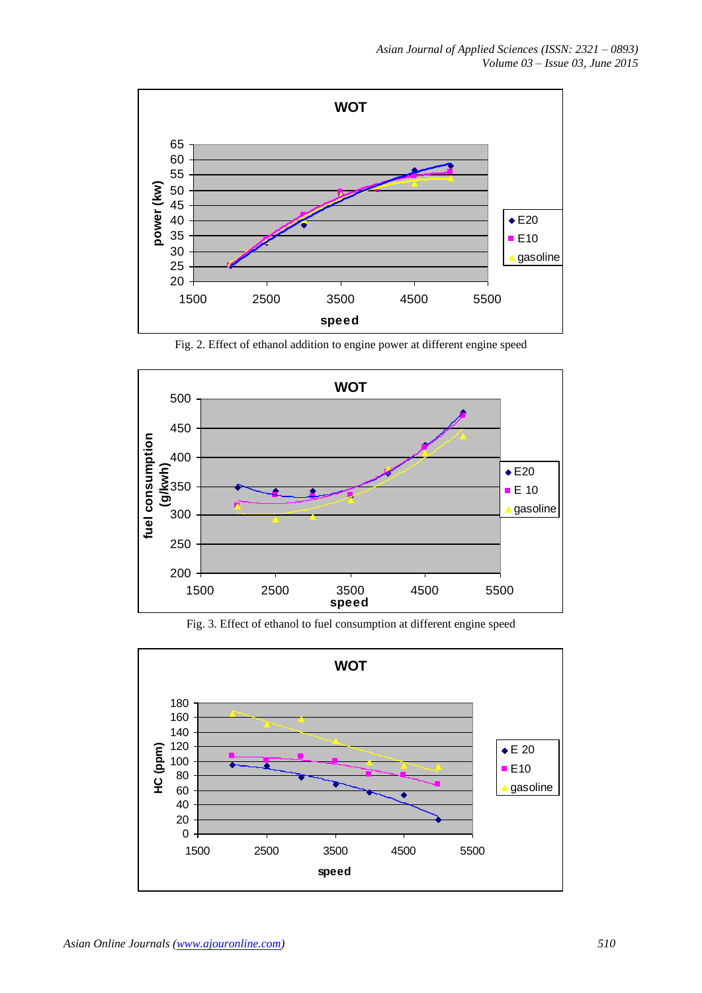

Fig. 2. Effect of ethanol addition to engine power at different engine speed





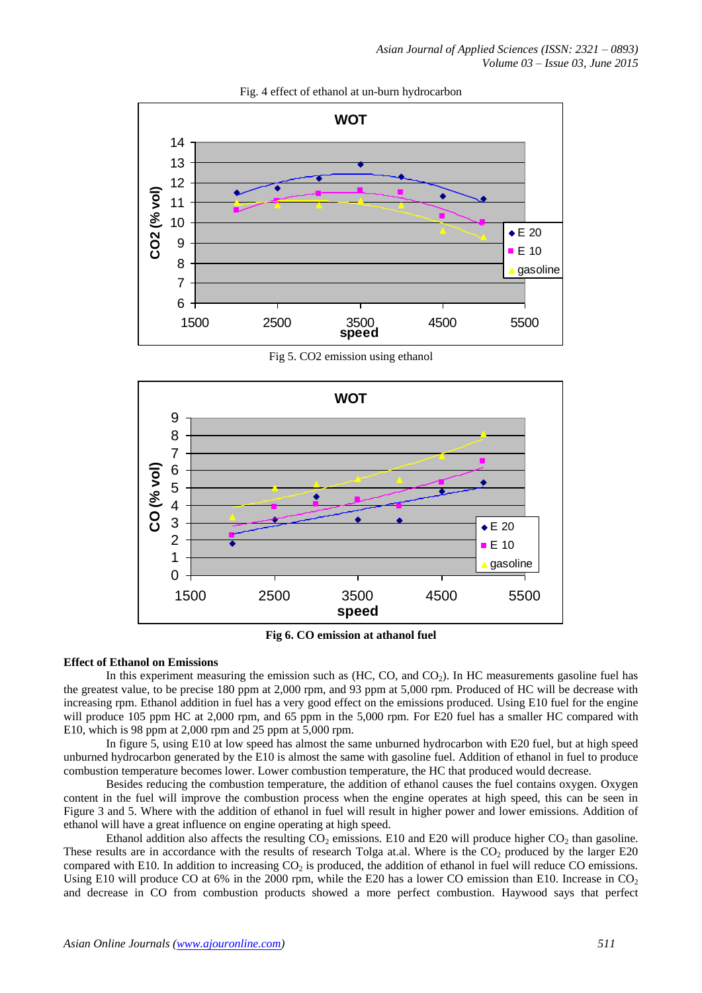

## Fig. 4 effect of ethanol at un-burn hydrocarbon

Fig 5. CO2 emission using ethanol



**Fig 6. CO emission at athanol fuel**

#### **Effect of Ethanol on Emissions**

In this experiment measuring the emission such as  $(HC, CO, and CO<sub>2</sub>)$ . In HC measurements gasoline fuel has the greatest value, to be precise 180 ppm at 2,000 rpm, and 93 ppm at 5,000 rpm. Produced of HC will be decrease with increasing rpm. Ethanol addition in fuel has a very good effect on the emissions produced. Using E10 fuel for the engine will produce 105 ppm HC at 2,000 rpm, and 65 ppm in the 5,000 rpm. For E20 fuel has a smaller HC compared with E10, which is 98 ppm at 2,000 rpm and 25 ppm at 5,000 rpm.

In figure 5, using E10 at low speed has almost the same unburned hydrocarbon with E20 fuel, but at high speed unburned hydrocarbon generated by the E10 is almost the same with gasoline fuel. Addition of ethanol in fuel to produce combustion temperature becomes lower. Lower combustion temperature, the HC that produced would decrease.

Besides reducing the combustion temperature, the addition of ethanol causes the fuel contains oxygen. Oxygen content in the fuel will improve the combustion process when the engine operates at high speed, this can be seen in Figure 3 and 5. Where with the addition of ethanol in fuel will result in higher power and lower emissions. Addition of ethanol will have a great influence on engine operating at high speed.

Ethanol addition also affects the resulting  $CO_2$  emissions. E10 and E20 will produce higher  $CO_2$  than gasoline. These results are in accordance with the results of research Tolga at.al. Where is the  $CO<sub>2</sub>$  produced by the larger E20 compared with E10. In addition to increasing  $CO<sub>2</sub>$  is produced, the addition of ethanol in fuel will reduce CO emissions. Using E10 will produce CO at 6% in the 2000 rpm, while the E20 has a lower CO emission than E10. Increase in  $CO<sub>2</sub>$ and decrease in CO from combustion products showed a more perfect combustion. Haywood says that perfect